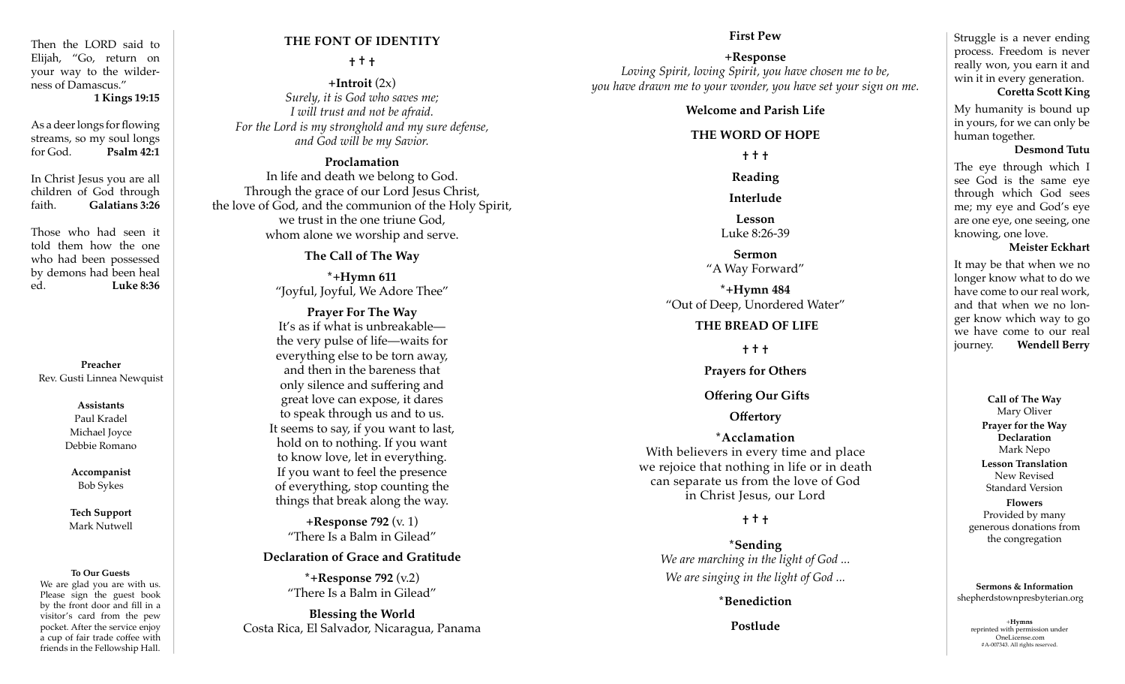Then the LORD said to Elijah, "Go, return on your way to the wilderness of Damascus." **1 Kings 19:15**

As a deer longs for flowing streams, so my soul longs for God. **Psalm 42:1**

In Christ Jesus you are all children of God through faith. **Galatians 3:26**

Those who had seen it told them how the one who had been possessed by demons had been heal ed. **Luke 8:36**

**Preacher** Rev. Gusti Linnea Newquist

> **Assistants** Paul Kradel Michael Joyce Debbie Romano

**Accompanist** Bob Sykes

**Tech Support** Mark Nutwell

#### **To Our Guests**

We are glad you are with us. Please sign the guest book by the front door and fill in a visitor's card from the pew pocket. After the service enjoy a cup of fair trade coffee with friends in the Fellowship Hall.

# **THE FONT OF IDENTITY**

### **† † †**

 $+$ **Introit**  $(2x)$ *Surely, it is God who saves me; I will trust and not be afraid. For the Lord is my stronghold and my sure defense, and God will be my Savior.* 

#### **Proclamation**

In life and death we belong to God. Through the grace of our Lord Jesus Christ, the love of God, and the communion of the Holy Spirit, we trust in the one triune God, whom alone we worship and serve.

**The Call of The Way**

**\*+Hymn 611** "Joyful, Joyful, We Adore Thee"

**Prayer For The Way** It's as if what is unbreakable the very pulse of life—waits for everything else to be torn away, and then in the bareness that only silence and suffering and great love can expose, it dares to speak through us and to us. It seems to say, if you want to last, hold on to nothing. If you want to know love, let in everything. If you want to feel the presence of everything, stop counting the things that break along the way.

**+Response 792** (v. 1) "There Is a Balm in Gilead"

#### **Declaration of Grace and Gratitude**

**\*+Response 792** (v.2) "There Is a Balm in Gilead"

**Blessing the World** Costa Rica, El Salvador, Nicaragua, Panama

#### **First Pew**

**+Response**  *Loving Spirit, loving Spirit, you have chosen me to be, you have drawn me to your wonder, you have set your sign on me.*

### **Welcome and Parish Life**

#### **THE WORD OF HOPE**

**† † †**

**Reading**

**Interlude**

**Lesson** Luke 8:26-39

### **Sermon** "A Way Forward"

**\*+Hymn 484** "Out of Deep, Unordered Water"

# **THE BREAD OF LIFE**

**† † †**

**Prayers for Others**

# **Offering Our Gifts**

# **Offertory**

**\*Acclamation** With believers in every time and place we rejoice that nothing in life or in death can separate us from the love of God in Christ Jesus, our Lord

# **† † †**

**\*Sending**  *We are marching in the light of God ... We are singing in the light of God ...*

### **\*Benediction**

Struggle is a never ending process. Freedom is never really won, you earn it and win it in every generation.

#### **Coretta Scott King**

My humanity is bound up in yours, for we can only be human together.

### **Desmond Tutu**

The eye through which I see God is the same eye through which God sees me; my eye and God's eye are one eye, one seeing, one knowing, one love.

#### **Meister Eckhart**

It may be that when we no longer know what to do we have come to our real work, and that when we no longer know which way to go we have come to our real journey. **Wendell Berry**

> **Call of The Way** Mary Oliver **Prayer for the Way Declaration** Mark Nepo **Lesson Translation** New Revised Standard Version **Flowers** Provided by many generous donations from

**Sermons & Information** shepherdstownpresbyterian.org

the congregation

**Postlude**  $+$ **Hymns** reprinted with permission under OneLicense.com #A-007343. All rights reserved.